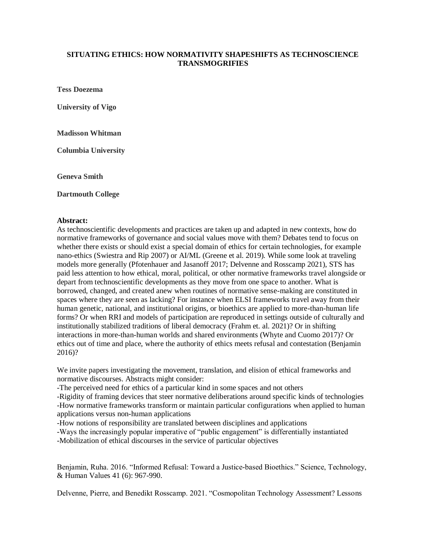## **SITUATING ETHICS: HOW NORMATIVITY SHAPESHIFTS AS TECHNOSCIENCE TRANSMOGRIFIES**

**Tess Doezema**

**University of Vigo**

**Madisson Whitman**

**Columbia University**

**Geneva Smith**

**Dartmouth College**

## **Abstract:**

As technoscientific developments and practices are taken up and adapted in new contexts, how do normative frameworks of governance and social values move with them? Debates tend to focus on whether there exists or should exist a special domain of ethics for certain technologies, for example nano-ethics (Swiestra and Rip 2007) or AI/ML (Greene et al. 2019). While some look at traveling models more generally (Pfotenhauer and Jasanoff 2017; Delvenne and Rosscamp 2021), STS has paid less attention to how ethical, moral, political, or other normative frameworks travel alongside or depart from technoscientific developments as they move from one space to another. What is borrowed, changed, and created anew when routines of normative sense-making are constituted in spaces where they are seen as lacking? For instance when ELSI frameworks travel away from their human genetic, national, and institutional origins, or bioethics are applied to more-than-human life forms? Or when RRI and models of participation are reproduced in settings outside of culturally and institutionally stabilized traditions of liberal democracy (Frahm et. al. 2021)? Or in shifting interactions in more-than-human worlds and shared environments (Whyte and Cuomo 2017)? Or ethics out of time and place, where the authority of ethics meets refusal and contestation (Benjamin 2016)?

We invite papers investigating the movement, translation, and elision of ethical frameworks and normative discourses. Abstracts might consider:

-The perceived need for ethics of a particular kind in some spaces and not others

-Rigidity of framing devices that steer normative deliberations around specific kinds of technologies -How normative frameworks transform or maintain particular configurations when applied to human applications versus non-human applications

-How notions of responsibility are translated between disciplines and applications

-Ways the increasingly popular imperative of "public engagement" is differentially instantiated -Mobilization of ethical discourses in the service of particular objectives

Benjamin, Ruha. 2016. "Informed Refusal: Toward a Justice-based Bioethics." Science, Technology, & Human Values 41 (6): 967-990.

Delvenne, Pierre, and Benedikt Rosscamp. 2021. "Cosmopolitan Technology Assessment? Lessons